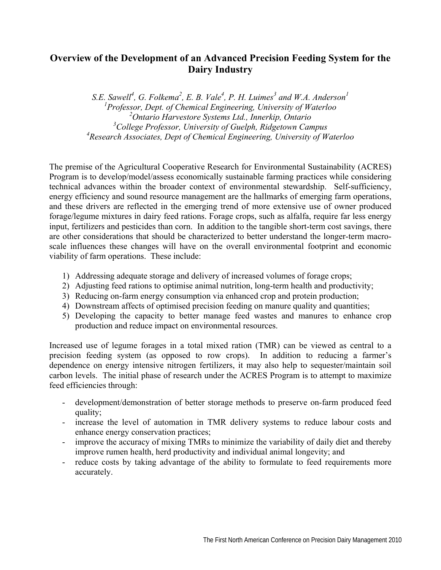## **Overview of the Development of an Advanced Precision Feeding System for the Dairy Industry**

*S.E.* Sawell<sup>4</sup>, G. Folkema<sup>2</sup>, E. B. Vale<sup>4</sup>, P. H. Luimes<sup>3</sup> and W.A. Anderson<sup>1</sup> *Professor, Dept. of Chemical Engineering, University of Waterloo Ontario Harvestore Systems Ltd., Innerkip, Ontario College Professor, University of Guelph, Ridgetown Campus Research Associates, Dept of Chemical Engineering, University of Waterloo* 

The premise of the Agricultural Cooperative Research for Environmental Sustainability (ACRES) Program is to develop/model/assess economically sustainable farming practices while considering technical advances within the broader context of environmental stewardship. Self-sufficiency, energy efficiency and sound resource management are the hallmarks of emerging farm operations, and these drivers are reflected in the emerging trend of more extensive use of owner produced forage/legume mixtures in dairy feed rations. Forage crops, such as alfalfa, require far less energy input, fertilizers and pesticides than corn. In addition to the tangible short-term cost savings, there are other considerations that should be characterized to better understand the longer-term macroscale influences these changes will have on the overall environmental footprint and economic viability of farm operations. These include:

- 1) Addressing adequate storage and delivery of increased volumes of forage crops;
- 2) Adjusting feed rations to optimise animal nutrition, long-term health and productivity;
- 3) Reducing on-farm energy consumption via enhanced crop and protein production;
- 4) Downstream affects of optimised precision feeding on manure quality and quantities;
- 5) Developing the capacity to better manage feed wastes and manures to enhance crop production and reduce impact on environmental resources.

Increased use of legume forages in a total mixed ration (TMR) can be viewed as central to a precision feeding system (as opposed to row crops). In addition to reducing a farmer's dependence on energy intensive nitrogen fertilizers, it may also help to sequester/maintain soil carbon levels. The initial phase of research under the ACRES Program is to attempt to maximize feed efficiencies through:

- development/demonstration of better storage methods to preserve on-farm produced feed quality;
- increase the level of automation in TMR delivery systems to reduce labour costs and enhance energy conservation practices;
- improve the accuracy of mixing TMRs to minimize the variability of daily diet and thereby improve rumen health, herd productivity and individual animal longevity; and
- reduce costs by taking advantage of the ability to formulate to feed requirements more accurately.